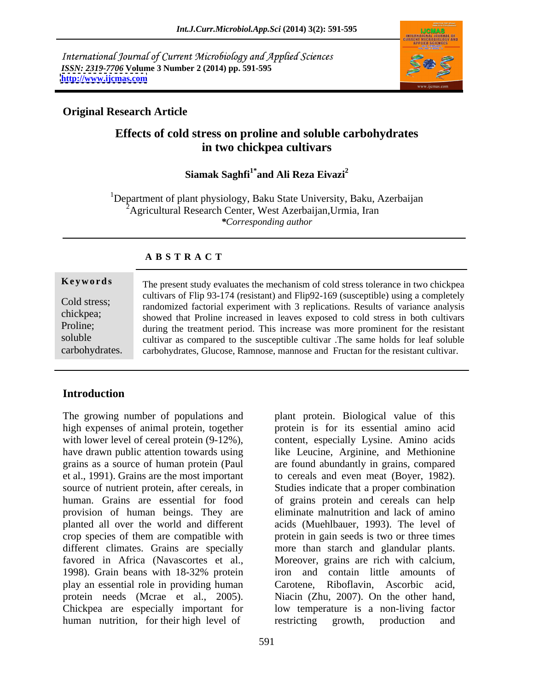International Journal of Current Microbiology and Applied Sciences *ISSN: 2319-7706* **Volume 3 Number 2 (2014) pp. 591-595 <http://www.ijcmas.com>**



## **Original Research Article**

# **Effects of cold stress on proline and soluble carbohydrates in two chickpea cultivars**

### Siamak Saghfi<sup>1\*</sup> and Ali Reza Eivazi<sup>2</sup> **and Ali Reza Eivazi<sup>2</sup>**

<sup>1</sup>Department of plant physiology, Baku State University, Baku, Azerbaijan 2Agricultural Research Center, West Azerbaijan,Urmia, Iran *\*Corresponding author*

| Keywords       | The present study evaluates the mechanism of cold stress tolerance in two chickpea   |
|----------------|--------------------------------------------------------------------------------------|
| Cold stress;   | cultivars of Flip 93-174 (resistant) and Flip92-169 (susceptible) using a completely |
|                | randomized factorial experiment with 3 replications. Results of variance analysis    |
| chickpea;      | showed that Proline increased in leaves exposed to cold stress in both cultivars     |
| Proline;       | during the treatment period. This increase was more prominent for the resistant      |
| soluble        | cultivar as compared to the susceptible cultivar. The same holds for leaf soluble    |
| carbohydrates. | carbohydrates, Glucose, Ramnose, mannose and Fructan for the resistant cultivar.     |

### **A B S T R A C T**

### **Introduction**

The growing number of populations and provision of human beings. They are planted all over the world and different play an essential role in providing human protein needs (Mcrae et al., 2005). human nutrition, for their high level of restricting growth, production and

high expenses of animal protein, together protein is for its essential amino acid with lower level of cereal protein (9-12%), content, especially Lysine. Amino acids have drawn public attention towards using like Leucine, Arginine, and Methionine grains as a source of human protein (Paul are found abundantly in grains, compared et al., 1991). Grains are the most important to cereals and even meat (Boyer, 1982). source of nutrient protein, after cereals, in Studies indicate that a proper combination human. Grains are essential for food of grains protein and cereals can help crop species of them are compatible with protein in gain seeds is two or three times different climates. Grains are specially more than starch and glandular plants. favored in Africa (Navascortes et al., Moreover, grains are rich with calcium, 1998). Grain beans with 18-32% protein Chickpea are especially important for low temperature is a non-living factor plant protein. Biological value of this eliminate malnutrition and lack of amino acids (Muehlbauer, 1993). The level of iron and contain little amounts of Riboflavin, Ascorbic acid, Niacin (Zhu, 2007). On the other hand, restricting growth, production and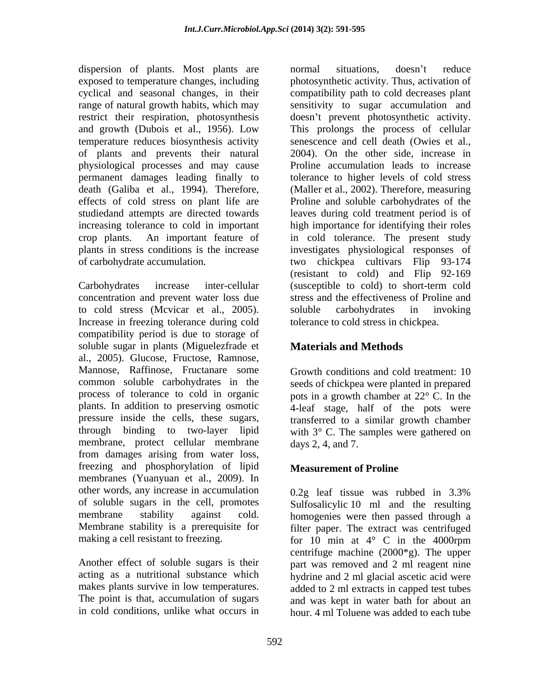dispersion of plants. Most plants are mormal situations, doesn't reduce exposed to temperature changes, including temperature reduces biosynthesis activity of plants and prevents their natural physiological processes and may cause

concentration and prevent water loss due to cold stress (Mcvicar et al., 2005). Increase in freezing tolerance during cold compatibility period is due to storage of soluble sugar in plants (Miguelezfrade et al., 2005). Glucose, Fructose, Ramnose, Mannose, Raffinose, Fructanare some common soluble carbohydrates in the seeds of chickpea were planted in prepared process of tolerance to cold in organic pots in a growth chamber at  $22^{\circ}$  C. In the plants. In addition to preserving osmotic 4-leaf stage, half of the pots were pressure inside the cells, these sugars, transferred to a similar growth chamber through binding to two-layer lipid with  $3^\circ$  C. The samples were gathered on membrane, protect cellular membrane from damages arising from water loss, freezing and phosphorylation of lipid membranes (Yuanyuan et al., 2009). In other words, any increase in accumulation 0.2g leaf tissue was rubbed in 3.3% of soluble sugars in the cell, promotes membrane stability against cold. homogenies were then passed through a Membrane stability is a prerequisite for filter paper. The extract was centrifuged making a cell resistant to freezing.  $\frac{1}{2}$  for  $\frac{1}{2}$  min at  $4^{\circ}$  C in the 4000rpm

Another effect of soluble sugars is their makes plants survive in low temperatures.

cyclical and seasonal changes, in their compatibility path to cold decreases plant range of natural growth habits, which may sensitivity to sugar accumulation and restrict their respiration, photosynthesis doesn't prevent photosynthetic activity. and growth (Dubois et al., 1956). Low This prolongs the process of cellular permanent damages leading finally to tolerance to higher levels of cold stress death (Galiba et al., 1994). Therefore, (Maller et al., 2002). Therefore, measuring effects of cold stress on plant life are Proline and soluble carbohydrates of the studiedand attempts are directed towards leaves during cold treatment period is of increasing tolerance to cold in important high importance for identifying their roles crop plants. An important feature of in cold tolerance. The present study plants in stress conditions is the increase investigates physiological responses of of carbohydrate accumulation. two chickpea cultivars Flip 93-174 Carbohydrates increase inter-cellular (susceptible to cold) to short-term cold normal situations, doesn't reduce photosynthetic activity. Thus, activation of senescence and cell death (Owies et al., 2004). On the other side, increase in Proline accumulation leads to increase (resistant to cold) and Flip 92-169 stress and the effectiveness of Proline and soluble carbohydrates in invoking tolerance to cold stress in chickpea.

# **Materials and Methods**

Growth conditions and cold treatment: 10 days 2, 4, and 7.

## **Measurement of Proline**

acting as a nutritional substance which hydrine and 2 ml glacial ascetic acid were The point is that, accumulation of sugars and was kept in water bath for about an in cold conditions, unlike what occurs in hour. 4 ml Toluene was added to each tube Sulfosalicylic 10 ml and the resulting for 10 min at 4° C in the 4000rpm centrifuge machine (2000\*g). The upper part was removed and 2 ml reagent nine added to 2 ml extracts in capped test tubes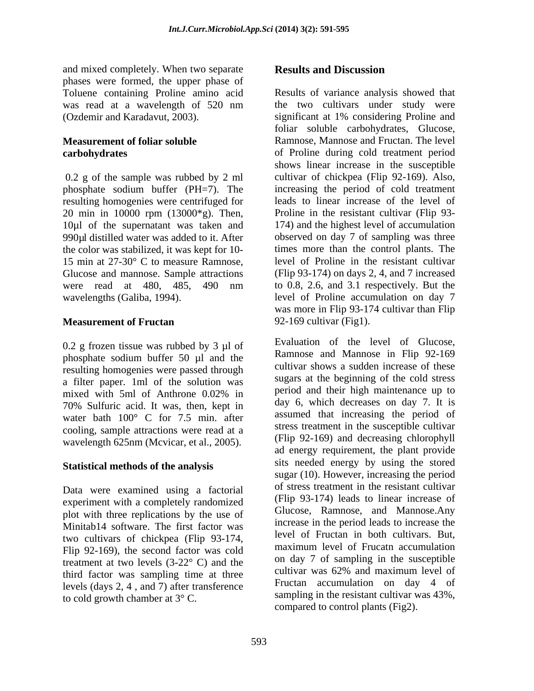and mixed completely. When two separate **Results and Discussion** phases were formed, the upper phase of Toluene containing Proline amino acid (Ozdemir and Karadavut, 2003).

0.2 g of the sample was rubbed by 2 ml phosphate sodium buffer (PH=7). The resulting homogenies were centrifuged for 20 min in 10000 rpm (13000\*g). Then, the color was stabilized, it was kept for 10- 15 min at 27-30° C to measure Ramnose, Glucose and mannose. Sample attractions

0.2 g frozen tissue was rubbed by 3 µl of phosphate sodium buffer 50 µl and the resulting homogenies were passed through a filter paper. 1ml of the solution was 70% Sulfuric acid. It was, then, kept in water bath 100° C for 7.5 min. after cooling, sample attractions were read at a wavelength 625nm (Mcvicar, et al., 2005).

# **Statistical methods of the analysis**

Data were examined using a factorial experiment with a completely randomized plot with three replications by the use of Minitab14 software. The first factor was two cultivars of chickpea (Flip 93-174, Flip 92-169), the second factor was cold treatment at two levels  $(3-22)$ °C) and the sum and the sum and the sum and the sum contribute the cultivar was  $62\%$  and maximum level of third factor was sampling time at three levels (days 2, 4 , and 7) after transference to cold growth chamber at 3° C.

# **Results and Discussion**

was read at a wavelength of 520 nm **Measurement of foliar soluble**  Ramnose, Mannose and Fructan. The level **carbohydrates** of Proline during cold treatment period 10µl of the supernatant was taken and 174) and the highest level of accumulation 990µl distilled water was added to it. After observed on day 7 of sampling was three were read at 480, 485, 490 nm to 0.8, 2.6, and 3.1 respectively. But the wavelengths (Galiba, 1994). level of Proline accumulation on day 7 **Measurement of Fructan** 92-169 cultivar (Fig1). Results of variance analysis showed that the two cultivars under study were significant at 1% considering Proline and foliar soluble carbohydrates, Glucose, shows linear increase in the susceptible cultivar of chickpea (Flip 92-169). Also, increasing the period of cold treatment leads to linear increase of the level of Proline in the resistant cultivar (Flip 93 times more than the control plants. The level of Proline in the resistant cultivar (Flip 93-174) on days 2, 4, and 7 increased to 0.8, 2.6, and 3.1 respectively. But the was more in Flip 93-174 cultivar than Flip 92-169 cultivar (Fig1).

mixed with 5ml of Anthrone 0.02% in period and their nigh maintenance up to Evaluation of the level of Glucose, Ramnose and Mannose in Flip 92-169 cultivar shows a sudden increase of these sugars at the beginning of the cold stress period and their high maintenance up to day 6, which decreases on day 7. It is assumed that increasing the period of stress treatment in the susceptible cultivar (Flip 92-169) and decreasing chlorophyll ad energy requirement, the plant provide sits needed energy by using the stored sugar (10). However, increasing the period of stress treatment in the resistant cultivar (Flip 93-174) leads to linear increase of Glucose, Ramnose, and Mannose.Any increase in the period leads to increase the level of Fructan in both cultivars. But, maximum level of Frucatn accumulation on day 7 of sampling in the susceptible cultivar was 62% and maximum level of Fructan accumulation on day 4 of sampling in the resistant cultivar was 43%, compared to control plants (Fig2).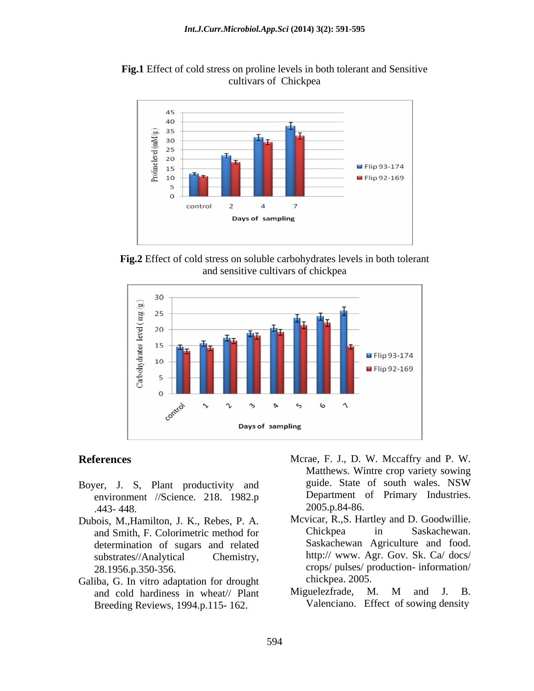



**Fig.2** Effect of cold stress on soluble carbohydrates levels in both tolerant and sensitive cultivars of chickpea



- environment //Science. 218. 1982.p  $.443-448.$  2005.p.84-86.
- and Smith, F. Colorimetric method for determination of sugars and related
- Galiba, G. In vitro adaptation for drought chickpea. 2005.<br>and cold hardiness in wheat// Plant Miguelezfrade, M. M and J. B. and cold hardiness in wheat// Plant Breeding Reviews, 1994.p.115- 162.
- **References** Mcrae, F. J., D. W. Mccaffry and P. W. Boyer, J. S., Plant productivity and guide. State of south wales. NSW Matthews. Wintre crop variety sowing guide. State of south wales. NSW Department of Primary Industries. 2005.p.84-86.
- Dubois, M., Hamilton, J. K., Rebes, P. A. Mcvicar, R., S. Hartley and D. Goodwillie.<br>and Smith F. Colorimetric method for Chickpea in Saskachewan. substrates//Analytical Chemistry, http:// www. Agr. Gov. Sk. Ca/ docs/ 28.1956.p.350-356. crops/ pulses/ production- information/ Mcvicar, R.,S. Hartley and D. Goodwillie. Chickpea in Saskachewan. Saskachewan Agriculture and food. chickpea. 2005.
	- Miguelezfrade, M. M and J. B. Valenciano. Effect of sowing density